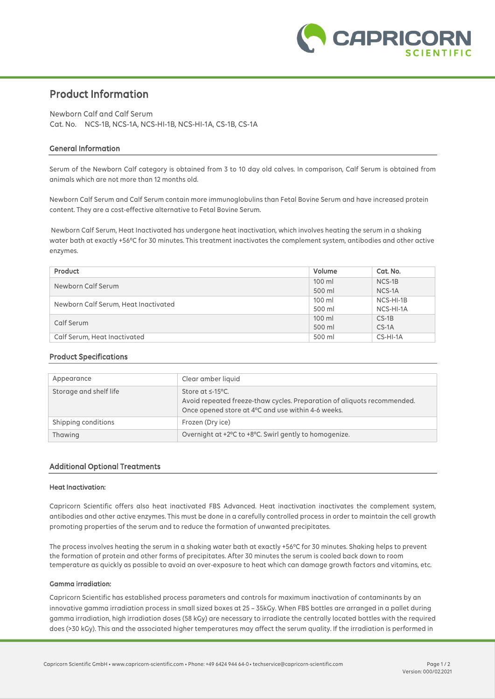

# **Product Information**

Newborn Calf and Calf Serum Cat. No. NCS-1B, NCS-1A, NCS-HI-1B, NCS-HI-1A, CS-1B, CS-1A

### **General Information**

Serum of the Newborn Calf category is obtained from 3 to 10 day old calves. In comparison, Calf Serum is obtained from animals which are not more than 12 months old.

Newborn Calf Serum and Calf Serum contain more immunoglobulins than Fetal Bovine Serum and have increased protein content. They are a cost-effective alternative to Fetal Bovine Serum.

Newborn Calf Serum, Heat Inactivated has undergone heat inactivation, which involves heating the serum in a shaking water bath at exactly +56°C for 30 minutes. This treatment inactivates the complement system, antibodies and other active enzymes.

| Product                              | Volume | Cat. No.   |
|--------------------------------------|--------|------------|
| Newborn Calf Serum                   | 100 ml | $NCS-1B$   |
|                                      | 500 ml | NCS-1A     |
| Newborn Calf Serum, Heat Inactivated | 100 ml | NCS-HI-1B  |
|                                      | 500 ml | NCS-HI-1A  |
| Calf Serum                           | 100 ml | $CS-1B$    |
|                                      | 500 ml | $CS-1A$    |
| Calf Serum, Heat Inactivated         | 500 ml | $CS-HI-1A$ |

### **Product Specifications**

| Appearance             | Clear amber liquid                                                                                                                                      |
|------------------------|---------------------------------------------------------------------------------------------------------------------------------------------------------|
| Storage and shelf life | Store at $\leq$ -15°C.<br>Avoid repeated freeze-thaw cycles. Preparation of aliquots recommended.<br>Once opened store at 4°C and use within 4-6 weeks. |
| Shipping conditions    | Frozen (Dry ice)                                                                                                                                        |
| Thawing                | Overnight at +2°C to +8°C. Swirl gently to homogenize.                                                                                                  |

### **Additional Optional Treatments**

#### **Heat Inactivation:**

Capricorn Scientific offers also heat inactivated FBS Advanced. Heat inactivation inactivates the complement system, antibodies and other active enzymes. This must be done in a carefully controlled process in order to maintain the cell growth promoting properties of the serum and to reduce the formation of unwanted precipitates.

The process involves heating the serum in a shaking water bath at exactly +56°C for 30 minutes. Shaking helps to prevent the formation of protein and other forms of precipitates. After 30 minutes the serum is cooled back down to room temperature as quickly as possible to avoid an over-exposure to heat which can damage growth factors and vitamins, etc.

### **Gamma irradiation:**

Capricorn Scientific has established process parameters and controls for maximum inactivation of contaminants by an innovative gamma irradiation process in small sized boxes at 25 – 35kGy. When FBS bottles are arranged in a pallet during gamma irradiation, high irradiation doses (58 kGy) are necessary to irradiate the centrally located bottles with the required does (>30 kGy). This and the associated higher temperatures may affect the serum quality. If the irradiation is performed in